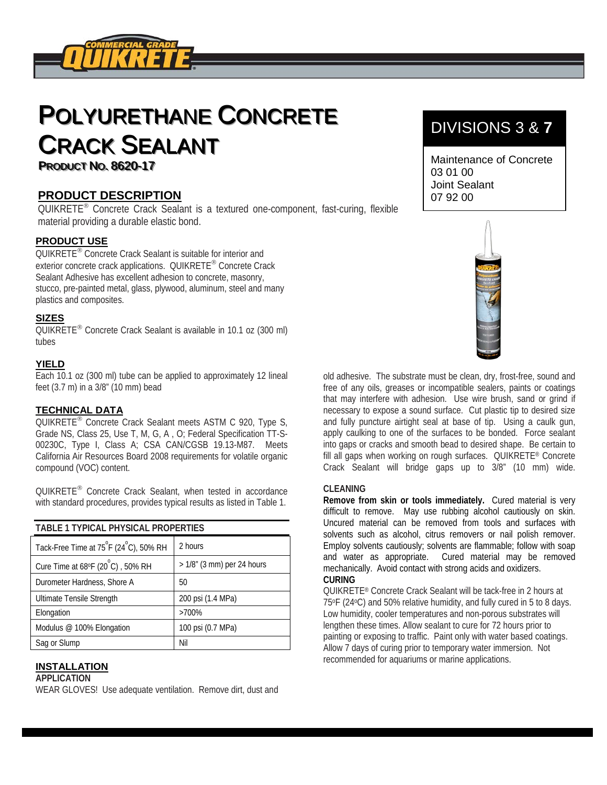

# POLYURETHANE CONCRETE **CRACK SEALANT PRODUCT NO. 8620-17**

### **PRODUCT DESCRIPTION**

QUIKRETE<sup>®</sup> Concrete Crack Sealant is a textured one-component, fast-curing, flexible material providing a durable elastic bond.

#### **PRODUCT USE**

QUIKRETE<sup>®</sup> Concrete Crack Sealant is suitable for interior and exterior concrete crack applications. QUIKRETE® Concrete Crack Sealant Adhesive has excellent adhesion to concrete, masonry, stucco, pre-painted metal, glass, plywood, aluminum, steel and many plastics and composites.

#### **SIZES**

QUIKRETE<sup>®</sup> Concrete Crack Sealant is available in 10.1 oz (300 ml) tubes

#### **YIELD**

Each 10.1 oz (300 ml) tube can be applied to approximately 12 lineal feet (3.7 m) in a 3/8" (10 mm) bead

#### **TECHNICAL DATA**

QUIKRETE<sup>®</sup> Concrete Crack Sealant meets ASTM C 920, Type S, Grade NS, Class 25, Use T, M, G, A , O; Federal Specification TT-S-00230C, Type I, Class A; CSA CAN/CGSB 19.13-M87. Meets California Air Resources Board 2008 requirements for volatile organic compound (VOC) content.

QUIKRETE<sup>®</sup> Concrete Crack Sealant, when tested in accordance with standard procedures, provides typical results as listed in Table 1.

| <b>TABLE 1 TYPICAL PHYSICAL PROPERTIES</b>                      |                            |
|-----------------------------------------------------------------|----------------------------|
| Tack-Free Time at 75 <sup>°</sup> F (24 <sup>°</sup> C), 50% RH | 2 hours                    |
| Cure Time at $68^{\circ}F(20^{\circ}C)$ , 50% RH                | > 1/8" (3 mm) per 24 hours |
| Durometer Hardness, Shore A                                     | 50                         |
| Ultimate Tensile Strength                                       | 200 psi (1.4 MPa)          |
| Elongation                                                      | $>700\%$                   |
| Modulus @ 100% Elongation                                       | 100 psi (0.7 MPa)          |
| Sag or Slump                                                    | Nil                        |

#### **INSTALLATION**

#### **APPLICATION**

WEAR GLOVES! Use adequate ventilation. Remove dirt, dust and

## DIVISIONS 3 & **7**

Maintenance of Concrete 03 01 00 Joint Sealant 07 92 00



old adhesive. The substrate must be clean, dry, frost-free, sound and free of any oils, greases or incompatible sealers, paints or coatings that may interfere with adhesion. Use wire brush, sand or grind if necessary to expose a sound surface. Cut plastic tip to desired size and fully puncture airtight seal at base of tip. Using a caulk gun, apply caulking to one of the surfaces to be bonded. Force sealant into gaps or cracks and smooth bead to desired shape. Be certain to fill all gaps when working on rough surfaces. QUIKRETE® Concrete Crack Sealant will bridge gaps up to 3/8" (10 mm) wide.

#### **CLEANING**

**Remove from skin or tools immediately.** Cured material is very difficult to remove. May use rubbing alcohol cautiously on skin. Uncured material can be removed from tools and surfaces with solvents such as alcohol, citrus removers or nail polish remover. Employ solvents cautiously; solvents are flammable; follow with soap and water as appropriate. Cured material may be removed mechanically. Avoid contact with strong acids and oxidizers.

#### **CURING**

QUIKRETE® Concrete Crack Sealant will be tack-free in 2 hours at 75oF (24oC) and 50% relative humidity, and fully cured in 5 to 8 days. Low humidity, cooler temperatures and non-porous substrates will lengthen these times. Allow sealant to cure for 72 hours prior to painting or exposing to traffic. Paint only with water based coatings. Allow 7 days of curing prior to temporary water immersion. Not recommended for aquariums or marine applications.